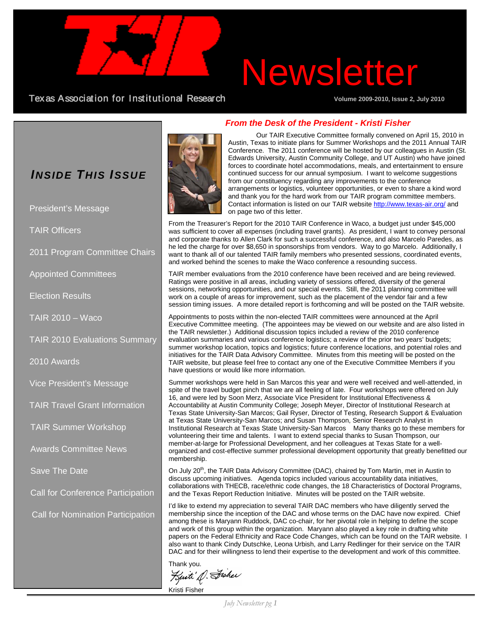## Newsletter

Texas Association for Institutional Research **Volume 2009-2010, Issue 2, July 2010**

President's Message

Appointed Committees

Election Results

2010 Awards

TAIR 2010 – Waco

2011 Program Committee Chairs

TAIR 2010 Evaluations Summary

Vice President's Message

TAIR Summer Workshop

Awards Committee News

Call for Conference Participation

Call for Nomination Participation

Save The Date

TAIR Travel Grant Information

TAIR Officers



#### *From the Desk of the President - Kristi Fisher*

Our TAIR Executive Committee formally convened on April 15, 2010 in Austin, Texas to initiate plans for Summer Workshops and the 2011 Annual TAIR Conference. The 2011 conference will be hosted by our colleagues in Austin (St. Edwards University, Austin Community College, and UT Austin) who have joined forces to coordinate hotel accommodations, meals, and entertainment to ensure continued success for our annual symposium. I want to welcome suggestions from our constituency regarding any improvements to the conference arrangements or logistics, volunteer opportunities, or even to share a kind word and thank you for the hard work from our TAIR program committee members. Contact information is listed on our TAIR website<http://www.texas-air.org/> and on page two of this letter.

From the Treasurer's Report for the 2010 TAIR Conference in Waco, a budget just under \$45,000 was sufficient to cover all expenses (including travel grants). As president, I want to convey personal and corporate thanks to Allen Clark for such a successful conference, and also Marcelo Paredes, as he led the charge for over \$8,650 in sponsorships from vendors. Way to go Marcelo. Additionally, I want to thank all of our talented TAIR family members who presented sessions, coordinated events, and worked behind the scenes to make the Waco conference a resounding success.

TAIR member evaluations from the 2010 conference have been received and are being reviewed. Ratings were positive in all areas, including variety of sessions offered, diversity of the general sessions, networking opportunities, and our special events. Still, the 2011 planning committee will work on a couple of areas for improvement, such as the placement of the vendor fair and a few session timing issues. A more detailed report is forthcoming and will be posted on the TAIR website.

Appointments to posts within the non-elected TAIR committees were announced at the April Executive Committee meeting. (The appointees may be viewed on our website and are also listed in the TAIR newsletter.) Additional discussion topics included a review of the 2010 conference evaluation summaries and various conference logistics; a review of the prior two years' budgets; summer workshop location, topics and logistics; future conference locations, and potential roles and initiatives for the TAIR Data Advisory Committee. Minutes from this meeting will be posted on the TAIR website, but please feel free to contact any one of the Executive Committee Members if you have questions or would like more information.

Summer workshops were held in San Marcos this year and were well received and well-attended, in spite of the travel budget pinch that we are all feeling of late. Four workshops were offered on July 16, and were led by Soon Merz, Associate Vice President for Institutional Effectiveness & Accountability at Austin Community College; Joseph Meyer, Director of Institutional Research at Texas State University-San Marcos; Gail Ryser, Director of Testing, Research Support & Evaluation at Texas State University-San Marcos; and Susan Thompson, Senior Research Analyst in Institutional Research at Texas State University-San Marcos Many thanks go to these members for volunteering their time and talents. I want to extend special thanks to Susan Thompson, our member-at-large for Professional Development, and her colleagues at Texas State for a wellorganized and cost-effective summer professional development opportunity that greatly benefitted our membership.

On July 20<sup>th</sup>, the TAIR Data Advisory Committee (DAC), chaired by Tom Martin, met in Austin to discuss upcoming initiatives. Agenda topics included various accountability data initiatives, collaborations with THECB, race/ethnic code changes, the 18 Characteristics of Doctoral Programs, and the Texas Report Reduction Initiative. Minutes will be posted on the TAIR website.

I'd like to extend my appreciation to several TAIR DAC members who have diligently served the membership since the inception of the DAC and whose terms on the DAC have now expired. Chief among these is Maryann Ruddock, DAC co-chair, for her pivotal role in helping to define the scope and work of this group within the organization. Maryann also played a key role in drafting white papers on the Federal Ethnicity and Race Code Changes, which can be found on the TAIR website. I also want to thank Cindy Dutschke, Leona Urbish, and Larry Redlinger for their service on the TAIR DAC and for their willingness to lend their expertise to the development and work of this committee.

Thank you.<br>Kurti'd Sisher

Kristi Fisher

*July Newsletter pg 1*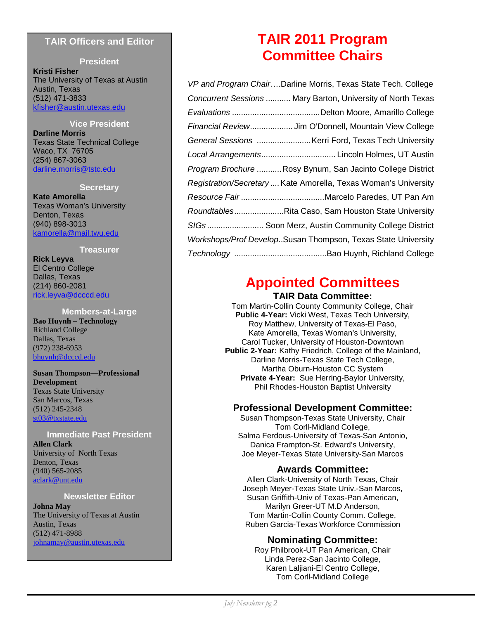#### **TAIR Officers and Editor**

#### **President**

**Kristi Fisher** The University of Texas at Austin Austin, Texas (512) 471-3833 [kfisher@austin.utexas.edu](mailto:kfisher@austin.utexas.edu)

#### **Vice President**

**Darline Morris** Texas State Technical College Waco, TX 76705 (254) 867-3063 [darline.morris@tstc.edu](mailto:kfisher@austin.utexas.edu)

#### **Secretary**

**Kate Amorella** Texas Woman's University Denton, Texas (940) 898-3013 kamorella@mail.twu.edu

#### **Treasurer**

**Rick Leyva** El Centro College Dallas, Texas (214) 860-2081 [rick.leyva@dcccd.edu](mailto:ric.leyva@dcccd.edu)

#### **Members-at-Large Bao Huynh – Technology** Richland College Dallas, Texas (972) 238-6953 [bhuynh@dcccd.edu](mailto:bhuynh@dcccd.edu)

#### **Susan Thompson—Professional Development** Texas State University San Marcos, Texas (512) 245-2348 [st03@txstate.edu](mailto:pillich@mclennan.edu)

#### **Immediate Past President**

**Allen Clark** University of North Texas Denton, Texas (940) 565-2085 [aclark@unt.edu](mailto:aclark@unt.edu)

#### **Newsletter Editor**

**Johna May** The University of Texas at Austin Austin, Texas (512) 471-8988 johnamay@austin.utexas.edu

## **TAIR 2011 Program Committee Chairs**

| VP and Program ChairDarline Morris, Texas State Tech. College   |
|-----------------------------------------------------------------|
| Concurrent Sessions  Mary Barton, University of North Texas     |
|                                                                 |
| Financial Review Jim O'Donnell, Mountain View College           |
| General Sessions  Kerri Ford, Texas Tech University             |
| Local Arrangements Lincoln Holmes, UT Austin                    |
| Program Brochure  Rosy Bynum, San Jacinto College District      |
| Registration/Secretary  Kate Amorella, Texas Woman's University |
|                                                                 |
| RoundtablesRita Caso, Sam Houston State University              |
| SIGs Soon Merz, Austin Community College District               |
| Workshops/Prof DevelopSusan Thompson, Texas State University    |
|                                                                 |

## **Appointed Committees**

#### **TAIR Data Committee:**

Tom Martin-Collin County Community College, Chair **Public 4-Year:** Vicki West, Texas Tech University, Roy Matthew, University of Texas-El Paso, Kate Amorella, Texas Woman's University, Carol Tucker, University of Houston-Downtown **Public 2-Year:** Kathy Friedrich, College of the Mainland, Darline Morris-Texas State Tech College, Martha Oburn-Houston CC System **Private 4-Year:** Sue Herring-Baylor University, Phil Rhodes-Houston Baptist University

#### **Professional Development Committee:**

Susan Thompson-Texas State University, Chair Tom Corll-Midland College, Salma Ferdous-University of Texas-San Antonio, Danica Frampton-St. Edward's University, Joe Meyer-Texas State University-San Marcos

#### **Awards Committee:**

Allen Clark-University of North Texas, Chair Joseph Meyer-Texas State Univ.-San Marcos, Susan Griffith-Univ of Texas-Pan American, Marilyn Greer-UT M.D Anderson, Tom Martin-Collin County Comm. College, Ruben Garcia-Texas Workforce Commission

#### **Nominating Committee:**

Roy Philbrook-UT Pan American, Chair Linda Perez-San Jacinto College, Karen Laljiani-El Centro College, Tom Corll-Midland College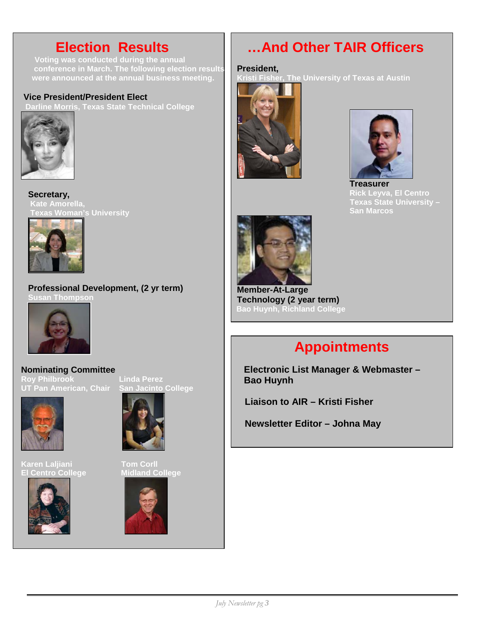**conference in March. The following election results were announced at the annual business meeting.** The Kristi Fisher, The Un

#### **Vice President/President Elect**

**ne Morris, Texas State Technical College** 



**Secretary, Kate Amorella, Texas Woman's University**



**Professional Development, (2 yr term) Susan Thompson**



**Nominating Committee Roy Philbrook Linda Perez UT Pan American, Chair San Jacinto College** 



**Karen Laljiani** Tom Corll<br><u>El Centro College College Midland College</u> **El Centro College** 







## **Election Results Election Results ... And Other TAIR Officers**

#### **President,**

**Kristi Fisher, The University of Texas at Austin**





**Treasurer Rick Leyva, El Centro Texas State University – San Marcos** 



**Member-At-Large Technology (2 year term) Bao Huynh, Richland College**

## **Appointments**

**Electronic List Manager & Webmaster – Bao Huynh**

 **Liaison to AIR – Kristi Fisher**

 **Newsletter Editor – Johna May**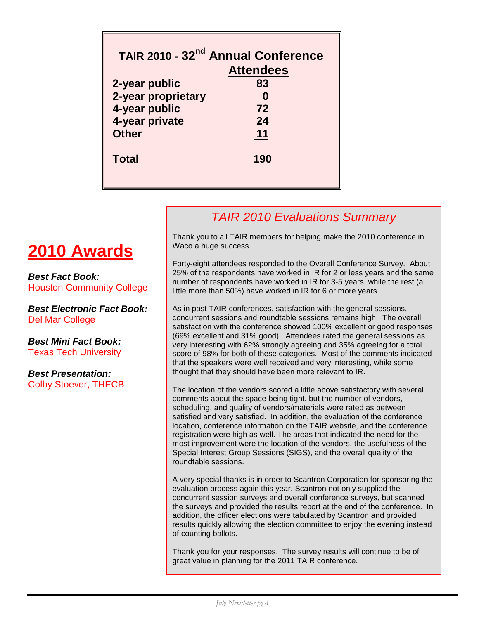|                    | TAIR 2010 - 32 <sup>nd</sup> Annual Conference<br><b>Attendees</b> |
|--------------------|--------------------------------------------------------------------|
| 2-year public      | 83                                                                 |
| 2-year proprietary |                                                                    |
| 4-year public      | 72                                                                 |
| 4-year private     | 24                                                                 |
| <b>Other</b>       | 11                                                                 |
| <b>Total</b>       | 190                                                                |

### *TAIR 2010 Evaluations Summary*

#### Thank you to all TAIR members for helping make the 2010 conference in Waco a huge success.

Forty-eight attendees responded to the Overall Conference Survey. About 25% of the respondents have worked in IR for 2 or less years and the same number of respondents have worked in IR for 3-5 years, while the rest (a little more than 50%) have worked in IR for 6 or more years.

As in past TAIR conferences, satisfaction with the general sessions, concurrent sessions and roundtable sessions remains high. The overall satisfaction with the conference showed 100% excellent or good responses (69% excellent and 31% good). Attendees rated the general sessions as very interesting with 62% strongly agreeing and 35% agreeing for a total score of 98% for both of these categories. Most of the comments indicated that the speakers were well received and very interesting, while some thought that they should have been more relevant to IR.

The location of the vendors scored a little above satisfactory with several comments about the space being tight, but the number of vendors, scheduling, and quality of vendors/materials were rated as between satisfied and very satisfied. In addition, the evaluation of the conference location, conference information on the TAIR website, and the conference registration were high as well. The areas that indicated the need for the most improvement were the location of the vendors, the usefulness of the Special Interest Group Sessions (SIGS), and the overall quality of the roundtable sessions.

A very special thanks is in order to Scantron Corporation for sponsoring the evaluation process again this year. Scantron not only supplied the concurrent session surveys and overall conference surveys, but scanned the surveys and provided the results report at the end of the conference. In addition, the officer elections were tabulated by Scantron and provided results quickly allowing the election committee to enjoy the evening instead of counting ballots.

Thank you for your responses. The survey results will continue to be of great value in planning for the 2011 TAIR conference.

## **2010 Awards**

*Best Fact Book:* Houston Community College

*Best Electronic Fact Book:* Del Mar College

*Best Mini Fact Book:* Texas Tech University

*Best Presentation:* Colby Stoever, THECB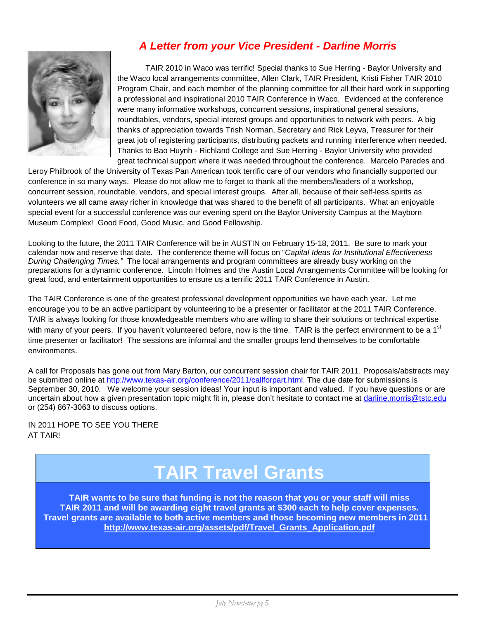

### *A Letter from your Vice President - Darline Morris*

TAIR 2010 in Waco was terrific! Special thanks to Sue Herring - Baylor University and the Waco local arrangements committee, Allen Clark, TAIR President, Kristi Fisher TAIR 2010 Program Chair, and each member of the planning committee for all their hard work in supporting a professional and inspirational 2010 TAIR Conference in Waco. Evidenced at the conference were many informative workshops, concurrent sessions, inspirational general sessions, roundtables, vendors, special interest groups and opportunities to network with peers. A big thanks of appreciation towards Trish Norman, Secretary and Rick Leyva, Treasurer for their great job of registering participants, distributing packets and running interference when needed. Thanks to Bao Huynh - Richland College and Sue Herring - Baylor University who provided great technical support where it was needed throughout the conference. Marcelo Paredes and

Leroy Philbrook of the University of Texas Pan American took terrific care of our vendors who financially supported our conference in so many ways. Please do not allow me to forget to thank all the members/leaders of a workshop, concurrent session, roundtable, vendors, and special interest groups. After all, because of their self-less spirits as volunteers we all came away richer in knowledge that was shared to the benefit of all participants. What an enjoyable special event for a successful conference was our evening spent on the Baylor University Campus at the Mayborn Museum Complex! Good Food, Good Music, and Good Fellowship.

Looking to the future, the 2011 TAIR Conference will be in AUSTIN on February 15-18, 2011. Be sure to mark your calendar now and reserve that date. The conference theme will focus on "*Capital Ideas for Institutional Effectiveness During Challenging Times."* The local arrangements and program committees are already busy working on the preparations for a dynamic conference. Lincoln Holmes and the Austin Local Arrangements Committee will be looking for great food, and entertainment opportunities to ensure us a terrific 2011 TAIR Conference in Austin.

The TAIR Conference is one of the greatest professional development opportunities we have each year. Let me encourage you to be an active participant by volunteering to be a presenter or facilitator at the 2011 TAIR Conference. TAIR is always looking for those knowledgeable members who are willing to share their solutions or technical expertise with many of your peers. If you haven't volunteered before, now is the time. TAIR is the perfect environment to be a 1<sup>st</sup> time presenter or facilitator! The sessions are informal and the smaller groups lend themselves to be comfortable environments.

A call for Proposals has gone out from Mary Barton, our concurrent session chair for TAIR 2011. Proposals/abstracts may be submitted online at [http://www.texas-air.org/conference/2011/callforpart.html.](http://www.texas-air.org/conference/2011/callforpart.html) The due date for submissions is September 30, 2010. We welcome your session ideas! Your input is important and valued. If you have questions or are uncertain about how a given presentation topic might fit in, please don't hesitate to contact me at [darline.morris@tstc.edu](mailto:darline.morris@tstc.edu) or (254) 867-3063 to discuss options.

IN 2011 HOPE TO SEE YOU THERE AT TAIR!

# **TAIR Travel Grants**<br>TAIR wants to be sure that funding is not the reason that you or your staff will miss

**TAIR 2011 and will be awarding eight travel grants at \$300 each to help cover expenses. Travel grants are available to both active members and those becoming new members in 2011 . [http://www.texas-air.org/assets/pdf/Travel\\_Grants\\_Application.pdf](http://www.texas-air.org/assets/pdf/Travel_Grants_Application.pdf)**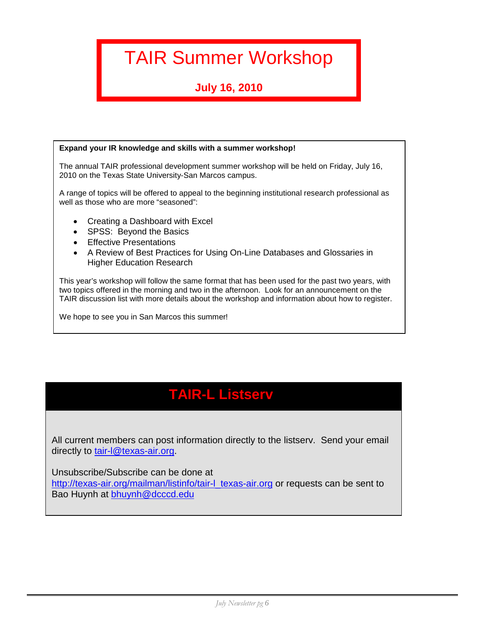## TAIR Summer Workshop

## **July 16, 2010**

#### **Expand your IR knowledge and skills with a summer workshop!**

The annual TAIR professional development summer workshop will be held on Friday, July 16, 2010 on the Texas State University-San Marcos campus.

A range of topics will be offered to appeal to the beginning institutional research professional as well as those who are more "seasoned":

- Creating a Dashboard with Excel
- SPSS: Beyond the Basics
- Effective Presentations
- A Review of Best Practices for Using On-Line Databases and Glossaries in Higher Education Research

This year's workshop will follow the same format that has been used for the past two years, with two topics offered in the morning and two in the afternoon. Look for an announcement on the TAIR discussion list with more details about the workshop and information about how to register.

We hope to see you in San Marcos this summer!

## **TAIR-L Listserv**

 All current members can post information directly to the listserv. Send your email directly to tair-I@texas-air.org.

Unsubscribe/Subscribe can be done at

[http://texas-air.org/mailman/listinfo/tair-l\\_texas-air.org](http://texas-air.org/mailman/listinfo/tair-l_texas-air.org) or requests can be sent to Bao Huynh at [bhuynh@dcccd.edu](mailto:bhuynh@dcccd.edu)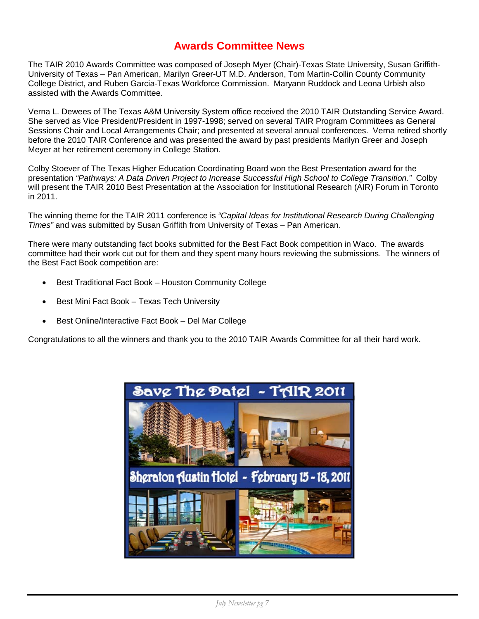#### **Awards Committee News**

The TAIR 2010 Awards Committee was composed of Joseph Myer (Chair)-Texas State University, Susan Griffith-University of Texas – Pan American, Marilyn Greer-UT M.D. Anderson, Tom Martin-Collin County Community College District, and Ruben Garcia-Texas Workforce Commission. Maryann Ruddock and Leona Urbish also assisted with the Awards Committee.

Verna L. Dewees of The Texas A&M University System office received the 2010 TAIR Outstanding Service Award. She served as Vice President/President in 1997-1998; served on several TAIR Program Committees as General Sessions Chair and Local Arrangements Chair; and presented at several annual conferences. Verna retired shortly before the 2010 TAIR Conference and was presented the award by past presidents Marilyn Greer and Joseph Meyer at her retirement ceremony in College Station.

Colby Stoever of The Texas Higher Education Coordinating Board won the Best Presentation award for the presentation *"Pathways: A Data Driven Project to Increase Successful High School to College Transition."* Colby will present the TAIR 2010 Best Presentation at the Association for Institutional Research (AIR) Forum in Toronto in 2011.

The winning theme for the TAIR 2011 conference is *"Capital Ideas for Institutional Research During Challenging Times"* and was submitted by Susan Griffith from University of Texas – Pan American.

There were many outstanding fact books submitted for the Best Fact Book competition in Waco. The awards committee had their work cut out for them and they spent many hours reviewing the submissions. The winners of the Best Fact Book competition are:

- Best Traditional Fact Book Houston Community College
- Best Mini Fact Book Texas Tech University
- Best Online/Interactive Fact Book Del Mar College

Congratulations to all the winners and thank you to the 2010 TAIR Awards Committee for all their hard work.

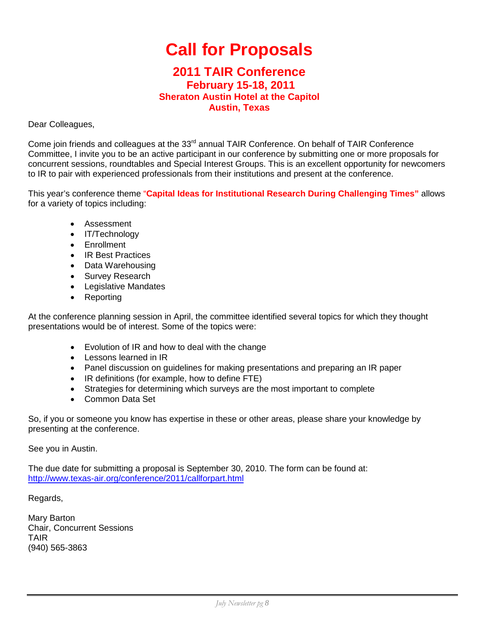## **Call for Proposals**

#### **2011 TAIR Conference February 15-18, 2011 Sheraton Austin Hotel at the Capitol Austin, Texas**

Dear Colleagues,

Come join friends and colleagues at the 33<sup>rd</sup> annual TAIR Conference. On behalf of TAIR Conference Committee, I invite you to be an active participant in our conference by submitting one or more proposals for concurrent sessions, roundtables and Special Interest Groups. This is an excellent opportunity for newcomers to IR to pair with experienced professionals from their institutions and present at the conference.

This year's conference theme "**Capital Ideas for Institutional Research During Challenging Times"** allows for a variety of topics including:

- Assessment
- IT/Technology
- Enrollment
- IR Best Practices
- Data Warehousing
- Survey Research
- Legislative Mandates
- Reporting

At the conference planning session in April, the committee identified several topics for which they thought presentations would be of interest. Some of the topics were:

- Evolution of IR and how to deal with the change
- Lessons learned in IR
- Panel discussion on guidelines for making presentations and preparing an IR paper
- IR definitions (for example, how to define FTE)
- Strategies for determining which surveys are the most important to complete
- Common Data Set

So, if you or someone you know has expertise in these or other areas, please share your knowledge by presenting at the conference.

See you in Austin.

The due date for submitting a proposal is September 30, 2010. The form can be found at: <http://www.texas-air.org/conference/2011/callforpart.html>

Regards,

Mary Barton Chair, Concurrent Sessions TAIR (940) 565-3863